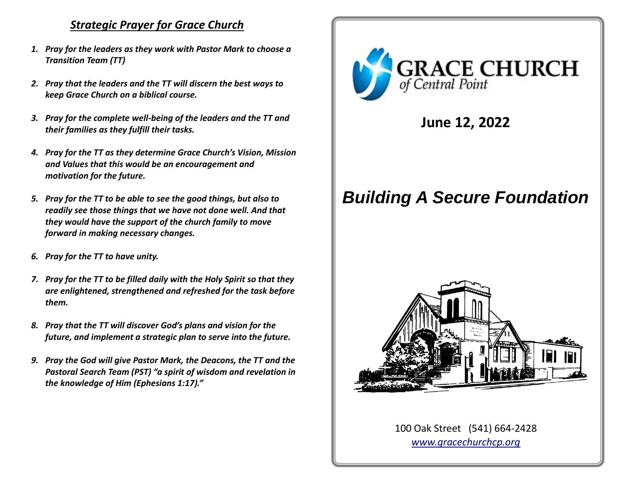## *Strategic Prayer for Grace Church*

- *1. Pray for the leaders as they work with Pastor Mark to choose a Transition Team (TT)*
- *2. Pray that the leaders and the TT will discern the best ways to keep Grace Church on a biblical course.*
- *3. Pray for the complete well-being of the leaders and the TT and their families as they fulfill their tasks.*
- *4. Pray for the TT as they determine Grace Church's Vision, Mission and Values that this would be an encouragement and motivation for the future.*
- *5. Pray for the TT to be able to see the good things, but also to readily see those things that we have not done well. And that they would have the support of the church family to move forward in making necessary changes.*
- *6. Pray for the TT to have unity.*
- *7. Pray for the TT to be filled daily with the Holy Spirit so that they are enlightened, strengthened and refreshed for the task before them.*
- *8. Pray that the TT will discover God's plans and vision for the future, and implement a strategic plan to serve into the future.*
- *9. Pray the God will give Pastor Mark, the Deacons, the TT and the Pastoral Search Team (PST) "a spirit of wisdom and revelation in the knowledge of Him (Ephesians 1:17)."*



**June 12, 2022**

# *Building A Secure Foundation*



100 Oak Street (541) 664-2428 *[www.gracechurchcp.org](http://www.gracechurchcp.org/)*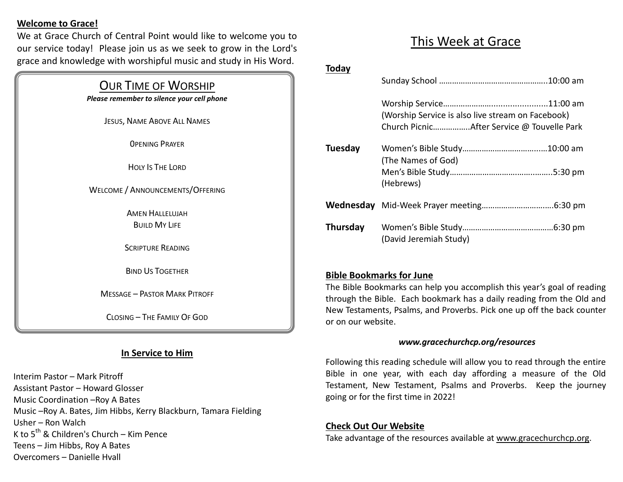### **Welcome to Grace!**

We at Grace Church of Central Point would like to welcome you to our service today! Please join us as we seek to grow in the Lord's grace and knowledge with worshipful music and study in His Word.

## OUR TIME OF WORSHIP

*Please remember to silence your cell phone*

JESUS, NAME ABOVE ALL NAMES

0PENING PRAYER

HOLY IS THE LORD

WELCOME / ANNOUNCEMENTS/OFFERING

**AMEN HALLELUJAH BUILD MY LIFE** 

SCRIPTURE READING

BIND US TOGETHER

MESSAGE – PASTOR MARK PITROFF

CLOSING – THE FAMILY OF GOD

## **In Service to Him**

Interim Pastor – Mark Pitroff Assistant Pastor – Howard Glosser Music Coordination –Roy A Bates Music –Roy A. Bates, Jim Hibbs, Kerry Blackburn, Tamara Fielding Usher – Ron Walch K to  $5^{th}$  & Children's Church – Kim Pence Teens – Jim Hibbs, Roy A Bates Overcomers – Danielle Hvall

# This Week at Grace

#### **Today**

|          | (Worship Service is also live stream on Facebook) |
|----------|---------------------------------------------------|
| Tuesday  | (The Names of God)<br>(Hebrews)                   |
|          |                                                   |
| Thursday | (David Jeremiah Study)                            |

## **Bible Bookmarks for June**

The Bible Bookmarks can help you accomplish this year's goal of reading through the Bible. Each bookmark has a daily reading from the Old and New Testaments, Psalms, and Proverbs. Pick one up off the back counter or on our website.

#### *www.gracechurchcp.org/resources*

Following this reading schedule will allow you to read through the entire Bible in one year, with each day affording a measure of the Old Testament, New Testament, Psalms and Proverbs. Keep the journey going or for the first time in 2022!

#### **Check Out Our Website**

Take advantage of the resources available at www.gracechurchcp.org.